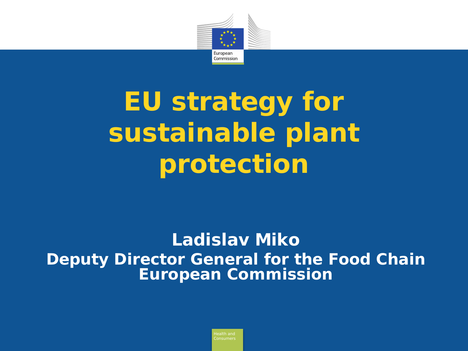

# **EU strategy for sustainable plant protection**

### **Ladislav Miko Deputy Director General for the Food Chain European Commission**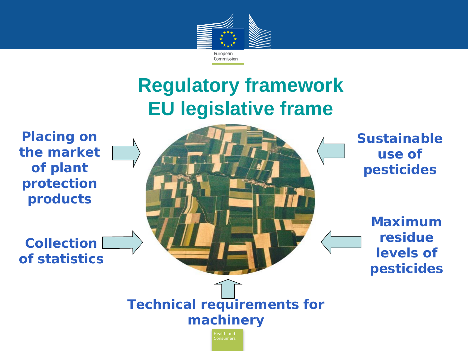

# **Regulatory framework EU legislative frame**

**Placing on the market of plant protection products**

**Collection of statistics** **Sustainable use of pesticides**

> **Maximum residue levels of pesticides**

**Technical requirements for machinery**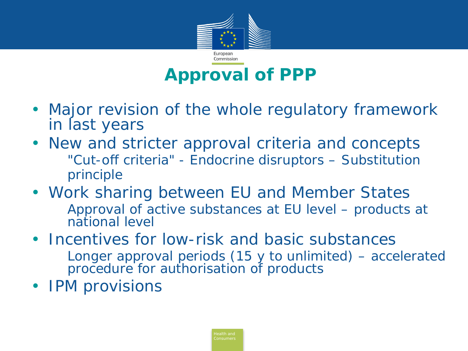

## **Approval of PPP**

- Major revision of the whole regulatory framework in last years
- New and stricter approval criteria and concepts "Cut-off criteria" - Endocrine disruptors – Substitution principle
- Work sharing between EU and Member States Approval of active substances at EU level – products at national level
- Incentives for low-risk and basic substances Longer approval periods (15 y to unlimited) – accelerated procedure for authorisation of products
- **IPM provisions**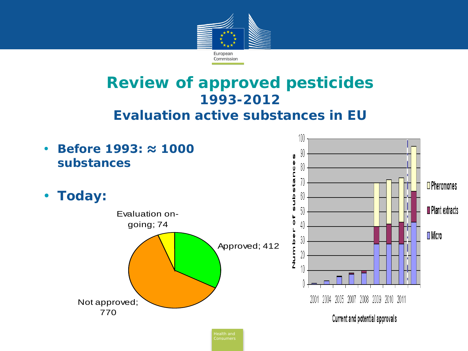

### **Review of approved pesticides 1993-2012**

#### **Evaluation active substances in EU**

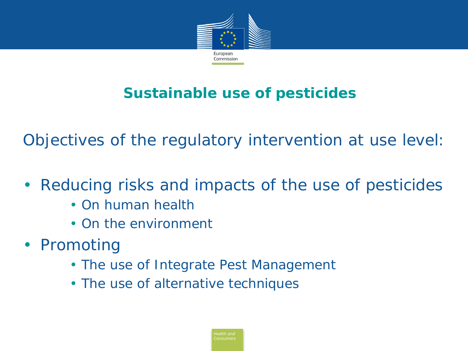

### **Sustainable use of pesticides**

Objectives of the regulatory intervention at use level:

- Reducing risks and impacts of the use of pesticides
	- On human health
	- On the environment
- Promoting
	- The use of Integrate Pest Management
	- The use of alternative techniques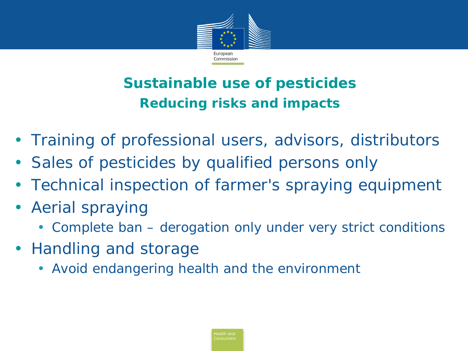

### **Sustainable use of pesticides Reducing risks and impacts**

- Training of professional users, advisors, distributors
- Sales of pesticides by qualified persons only
- Technical inspection of farmer's spraying equipment
- Aerial spraying
	- Complete ban derogation only under very strict conditions
- Handling and storage
	- Avoid endangering health and the environment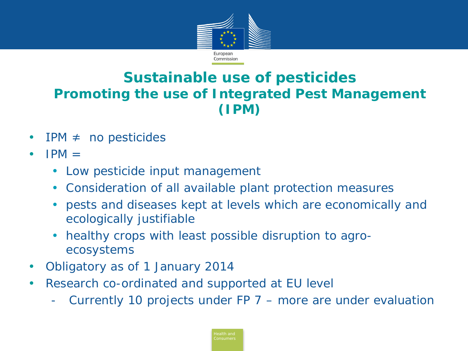

#### **Sustainable use of pesticides Promoting the use of Integrated Pest Management (IPM)**

- $IPM \neq no$  pesticides
- $IPM =$ 
	- *Low pesticide input management*
	- *Consideration of all available plant protection measures*
	- *pests and diseases kept at levels which are economically and ecologically justifiable*
	- *healthy crops with least possible disruption to agroecosystems*
- Obligatory as of 1 January 2014
- Research co-ordinated and supported at EU level
	- Currently 10 projects under  $FP 7 more are under evaluation$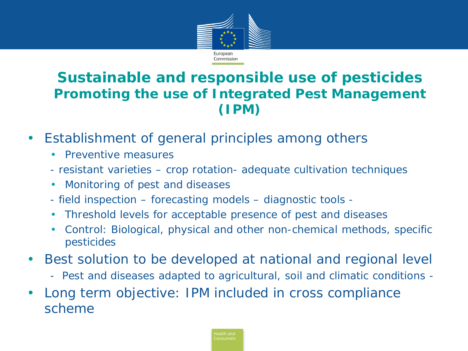

#### **Sustainable and responsible use of pesticides Promoting the use of Integrated Pest Management (IPM)**

- Establishment of general principles among others
	- Preventive measures
	- *- resistant varieties – crop rotation- adequate cultivation techniques*
	- Monitoring of pest and diseases
	- *- field inspection – forecasting models – diagnostic tools -*
	- Threshold levels for acceptable presence of pest and diseases
	- Control: Biological, physical and other non-chemical methods, specific pesticides
- Best solution to be developed at national and regional level
	- Pest and diseases adapted to agricultural, soil and climatic conditions -
- Long term objective: IPM included in cross compliance scheme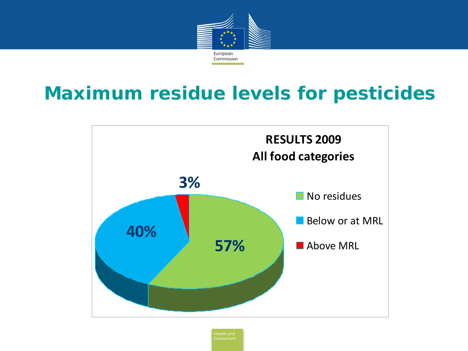

# **Maximum residue levels for pesticides**

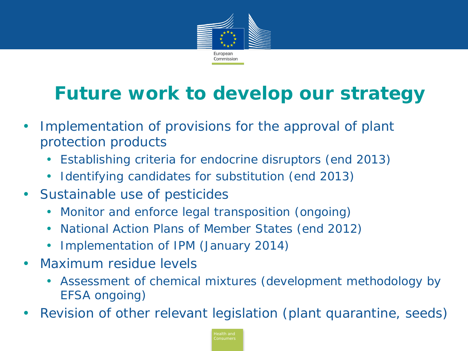

# **Future work to develop our strategy**

- Implementation of provisions for the approval of plant protection products
	- *Establishing criteria for endocrine disruptors (end 2013)*
	- *Identifying candidates for substitution (end 2013)*
- Sustainable use of pesticides
	- *Monitor and enforce legal transposition (ongoing)*
	- *National Action Plans of Member States (end 2012)*
	- *Implementation of IPM (January 2014)*
- Maximum residue levels
	- *Assessment of chemical mixtures (development methodology by EFSA ongoing)*
- Revision of other relevant legislation (plant quarantine, seeds)